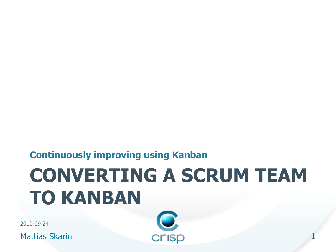#### **Continuously improving using Kanban**

# **CONVERTING A SCRUM TEAM TO KANBAN**

2010-09-24

Mattias Skarin

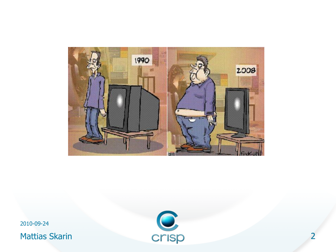

 -09 -24 Mattias Skarin

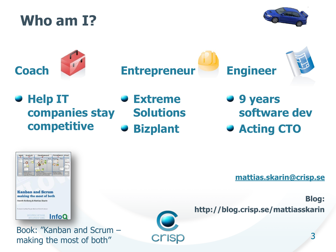





**Help IT companies stay competitive**

**Extreme Solutions Bizplant**

- **9 years software dev**
- **Acting CTO**

**[mattias.skarin@crisp.se](mailto:mattias.skarin@crisp.se)**

**Kanban and Scrum** making the most of both **Henrik Kniberg & Mattias Skarin** .<br>Ponnecillarlı and David Ande **InfoQ** 

Book: "Kanban and Scrum – making the most of both"



**Blog: http://blog.crisp.se/mattiasskarin**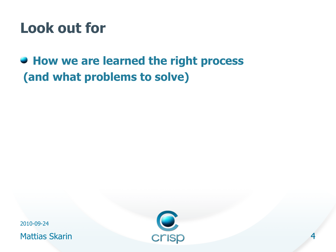### **Look out for**

#### $\bullet$  **How we are learned the right process (and what problems to solve)**

2010-09-24 Mattias Skarin



4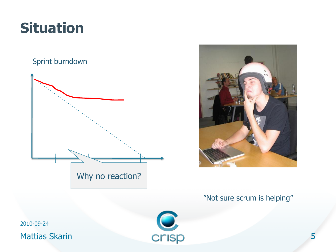### **Situation**





"Not sure scrum is helping"

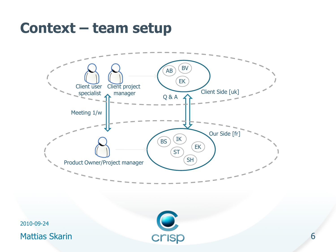#### **Context – team setup**



2010-09-24 Mattias Skarin

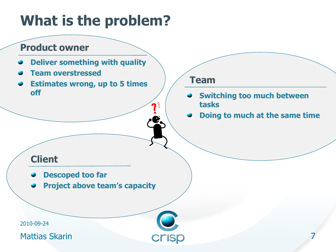# **What is the problem?**

#### **Product owner**

- **Deliver something with quality**
- **Team overstressed**
- **Estimates wrong, up to 5 times off**

#### **Team**

- **Switching too much between tasks**
- **Doing to much at the same time**

- **Descoped too far**
- **Project above team's capacity**



2010-09-24

**Client<br>
• Descope<br>
• Project<br>
2010-09-24<br>
Mattias Skarin**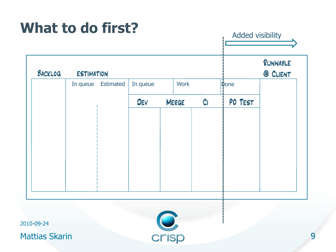## **What to do first?**

| BACKLOG | <b>ESTIMATION</b>            |  |          | RUNNABLE<br>@ CLIENT |                |         |  |
|---------|------------------------------|--|----------|----------------------|----------------|---------|--|
|         | <b>Estimated</b><br>In queue |  | In queue | <b>Work</b>          |                | $b$ one |  |
|         |                              |  | DEV      | MERGE                | c <sub>1</sub> | PO TEST |  |
|         |                              |  |          |                      |                |         |  |
|         |                              |  |          |                      |                |         |  |
|         |                              |  |          |                      |                |         |  |
|         |                              |  |          |                      |                |         |  |
|         |                              |  |          |                      |                |         |  |
|         |                              |  |          |                      |                |         |  |
|         |                              |  |          |                      |                |         |  |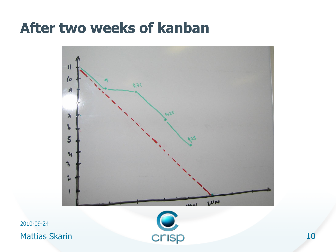#### **After two weeks of kanban**



2010-09-24 Mattias Skarin

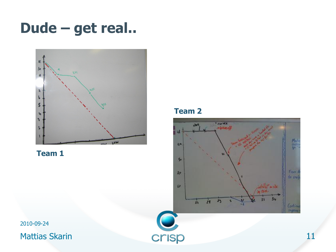#### **Dude – get real..**



**Team 2**

 $\blacksquare$ 

crisp



2010-09-24 Team 1<br>2010-09-24<br>Mattias Skarin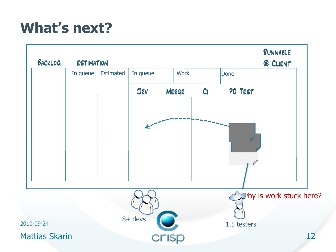# **What's next?**

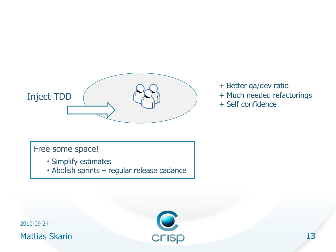

+ Self confidence + Better qa/dev ratio

Free some space!

- Simplify estimates
- Abolish sprints regular release cadance

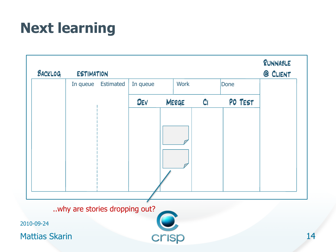# **Next learning**

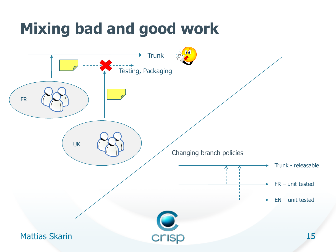# **Mixing bad and good work**

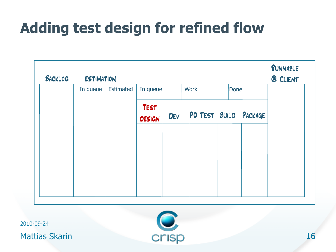# **Adding test design for refined flow**

| In queue | In queue | <b>Work</b>           | Done                      | @ CLIENT |  |
|----------|----------|-----------------------|---------------------------|----------|--|
|          |          | <b>TEST</b><br>DESIGN | DEV PO TEST BUILD PACKAGE |          |  |
|          |          |                       |                           |          |  |
|          |          |                       |                           |          |  |
|          |          |                       |                           |          |  |
|          |          |                       |                           |          |  |

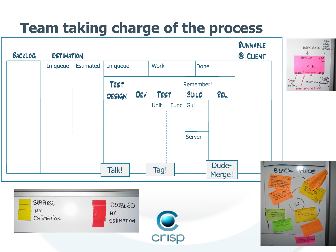# **Team taking charge of the process**

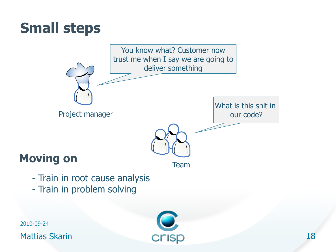#### **Small steps**



- Train in root cause analysis
	- Train in problem solving

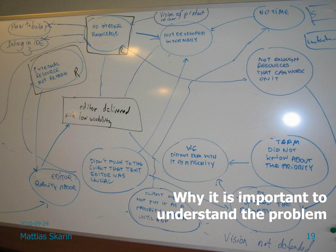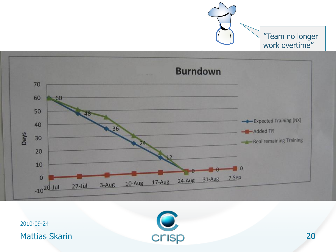

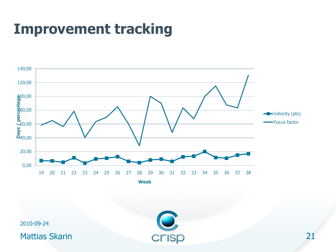### **Improvement tracking**



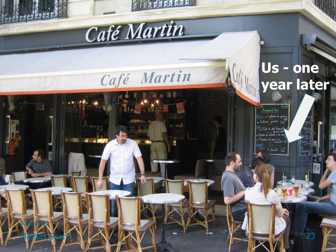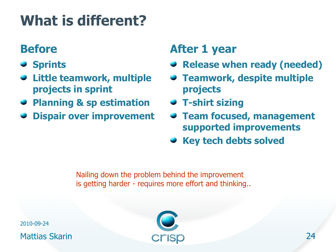# **What is different?**

#### **Before**

- **Sprints**
- **Little teamwork, multiple projects in sprint**
- **Planning & sp estimation**
- **Dispair over improvement**

#### **After 1 year**

- **Release when ready (needed)**
- **Teamwork, despite multiple projects**
- **T-shirt sizing**
- **Team focused, management supported improvements**
- **Key tech debts solved**

Nailing down the problem behind the improvement<br>is getting harder - requires more effort and thinking<br>2010-09-24<br>Mattias Skarin<br>Criso is getting harder - requires more effort and thinking..

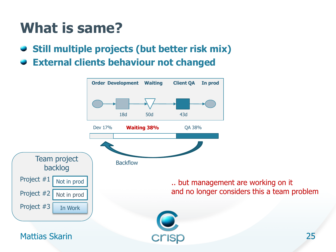# **What is same?**

**Still multiple projects (but better risk mix)**

**External clients behaviour not changed**

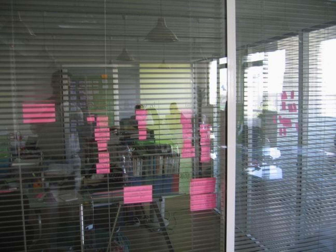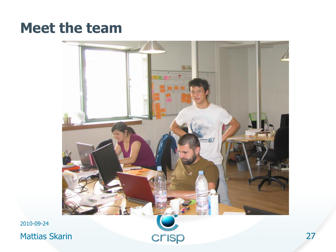#### **Meet the team**